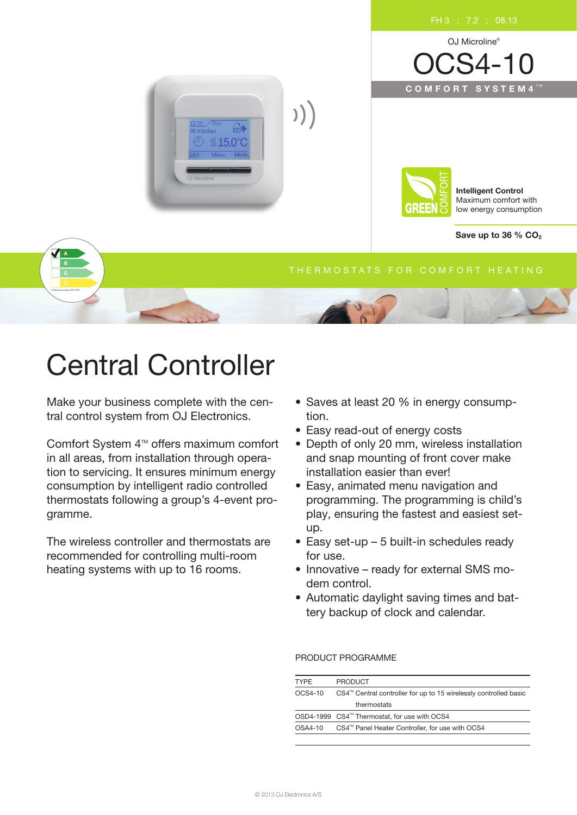

# Central Controller

Make your business complete with the central control system from OJ Electronics.

Comfort System 4<sup>™</sup> offers maximum comfort in all areas, from installation through operation to servicing. It ensures minimum energy consumption by intelligent radio controlled thermostats following a group's 4-event programme.

The wireless controller and thermostats are recommended for controlling multi-room heating systems with up to 16 rooms.

- Saves at least 20 % in energy consumption.
- Easy read-out of energy costs
- Depth of only 20 mm, wireless installation and snap mounting of front cover make installation easier than ever!
- Easy, animated menu navigation and programming. The programming is child's play, ensuring the fastest and easiest setup.
- Easy set-up 5 built-in schedules ready for use.
- Innovative ready for external SMS modem control.
- Automatic daylight saving times and battery backup of clock and calendar.

## PRODUCT PROGRAMME

| <b>TYPF</b> | <b>PRODUCT</b>                                                   |  |
|-------------|------------------------------------------------------------------|--|
| OCS4-10     | CS4™ Central controller for up to 15 wirelessly controlled basic |  |
|             | thermostats                                                      |  |
|             | OSD4-1999 CS4 <sup>™</sup> Thermostat, for use with OCS4         |  |
| OSA4-10     | CS4 <sup>™</sup> Panel Heater Controller, for use with OCS4      |  |
|             |                                                                  |  |